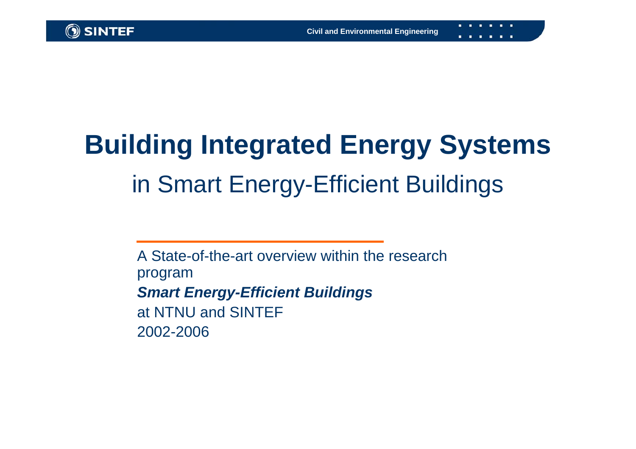# **Building Integrated Energy Systems** in Smart Energy-Efficient Buildings

A State-of-the-art overview within the research program *Smart Energy-Efficient Buildings* at NTNU and SINTEF2002-2006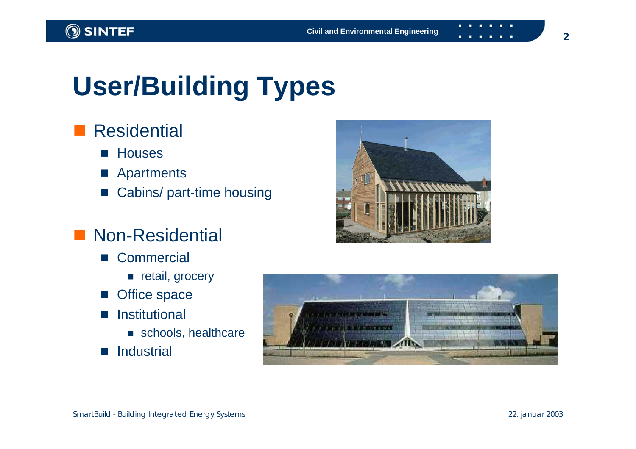# **User/Building Types**

#### **Residential**

- **Houses**
- **Apartments**
- Cabins/ part-time housing

#### **Non-Residential**

- Commercial
	- **retail**, grocery
- L Office space
- $\mathcal{L}(\mathcal{A})$  Institutional
	- schools, healthcare
- $\mathcal{L}(\mathcal{A})$ **Industrial**



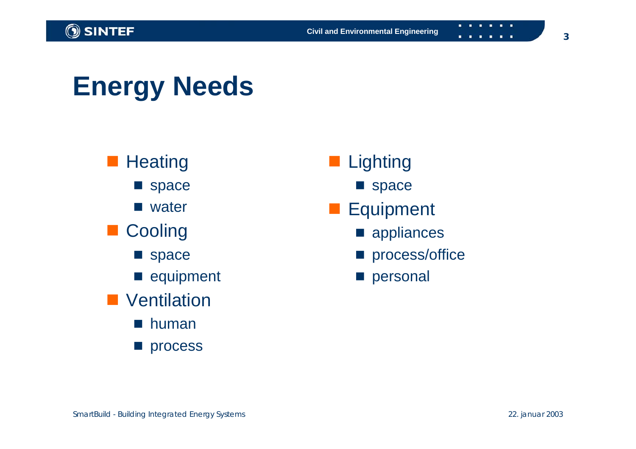. . . . . .

### **Energy Needs**



- **Lighting** 
	- **Space**
- **Equipment** 
	- **n** appliances
	- **process/office**
	- **personal**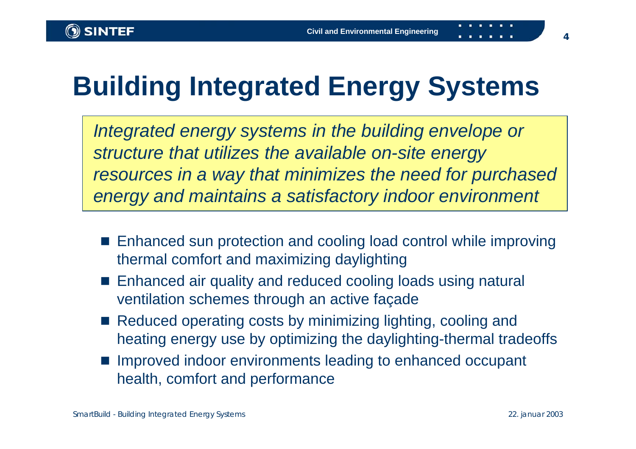# **Building Integrated Energy Systems**

*Integrated energy systems in the building envelope or structure that utilizes the available on-site energy resources in a way that minimizes the need for purchased energy and maintains a satisfactory indoor environment*

- Enhanced sun protection and cooling load control while improving thermal comfort and maximizing daylighting
- F. Enhanced air quality and reduced cooling loads using natural ventilation schemes through an active façade
- Reduced operating costs by minimizing lighting, cooling and heating energy use by optimizing the daylighting-thermal tradeoffs
- **Improved indoor environments leading to enhanced occupant** health, comfort and performance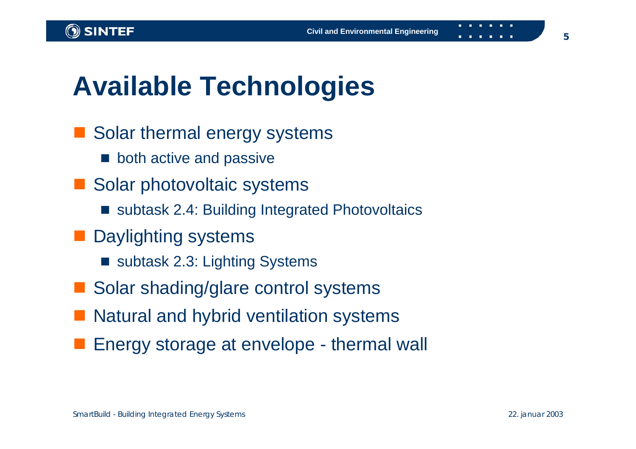### **Available Technologies**

- **STATE**  Solar thermal energy systems
	- both active and passive
- Solar photovoltaic systems
	- subtask 2.4: Building Integrated Photovoltaics
- **Daylighting systems** 
	- subtask 2.3: Lighting Systems
- **STATE** Solar shading/glare control systems
- Natural and hybrid ventilation systems
- Energy storage at envelope thermal wall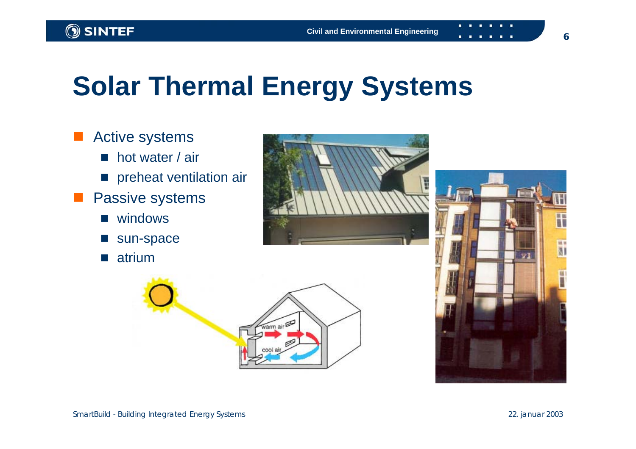### **Solar Thermal Energy Systems**

**Contract**  Active systems ■ hot water / air **n** preheat ventilation air **Passive systems** ■ windows  $\mathcal{L}^{\text{max}}$  sun-space **■** atrium





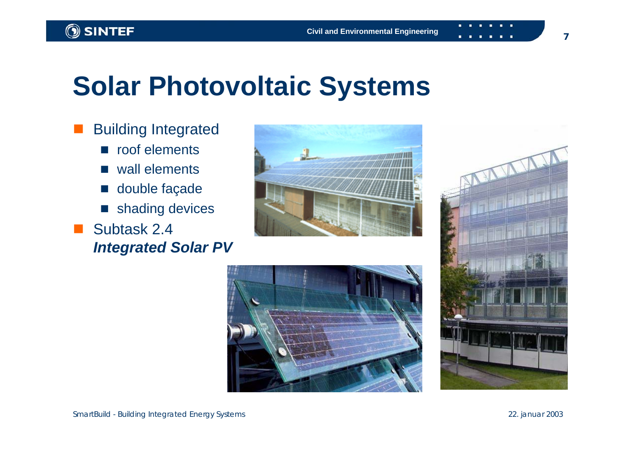#### **Solar Photovoltaic Systems**

 Building Integrated **n** roof elements ■ wall elements ■ double façade  $\mathcal{L}_{\mathcal{A}}$  shading devices Subtask 2.4 *Integrated Solar PV*





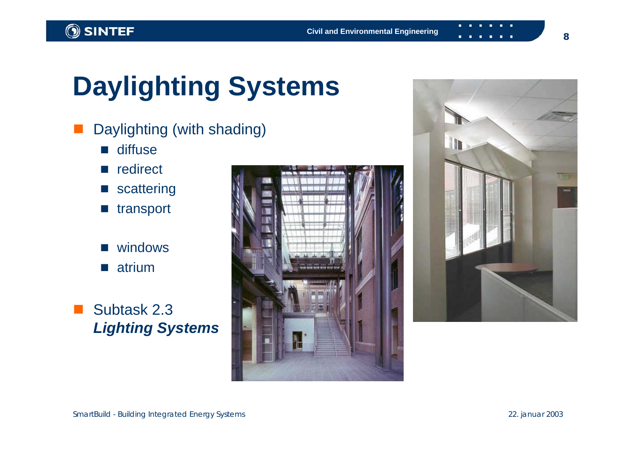#### SINTEF

## **Daylighting Systems**

- Daylighting (with shading)
	- $\|\cdot\|$ diffuse
	- $\mathcal{L}^{\mathcal{A}}$ redirect
	- **scattering**
	- $\mathcal{L}_{\mathcal{A}}$ transport
	- F. windows  $\mathcal{L}(\mathcal{A})$ atrium

#### **I**  Subtask 2.3 *Lighting Systems*



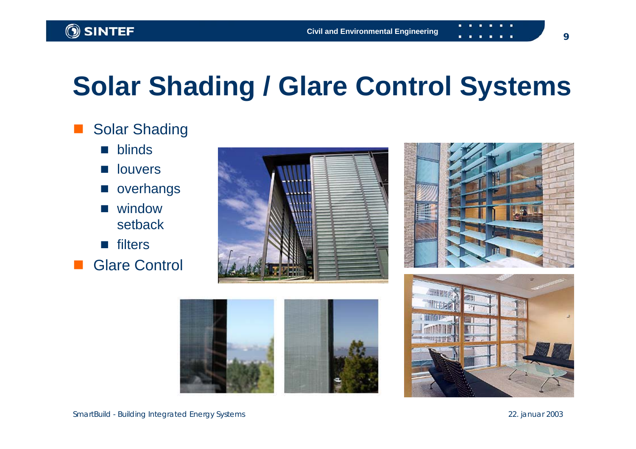## **Solar Shading / Glare Control Systems**

#### Solar Shading

- $\mathcal{L}(\mathcal{A})$ blinds
- $\sim$ louvers
- $\mathcal{L}(\mathcal{A})$ overhangs
- $\mathcal{L}(\mathcal{A})$  window setback
- **n** filters
- Glare Control







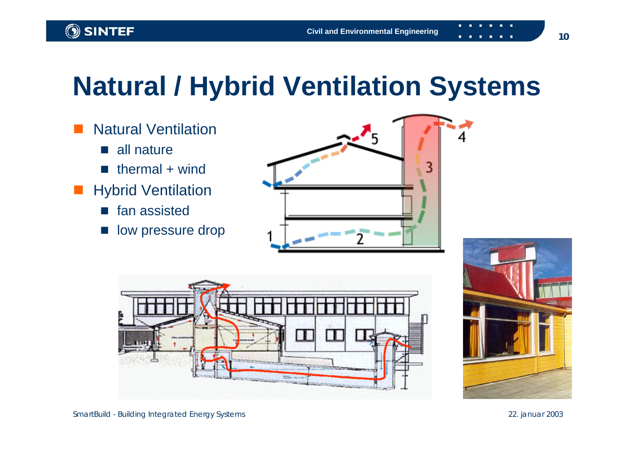### **Natural / Hybrid Ventilation Systems**





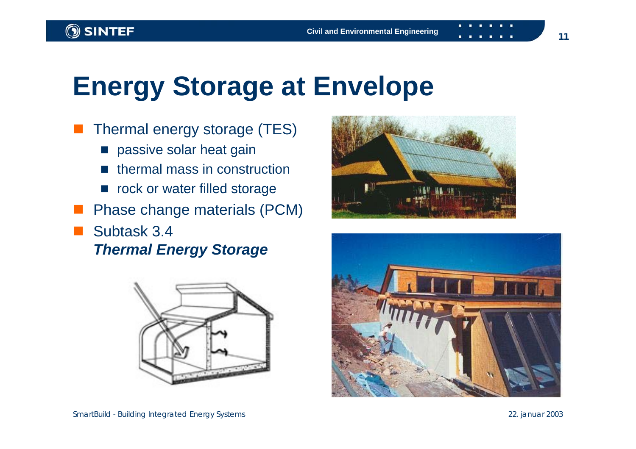#### **Energy Storage at Envelope**

- Thermal energy storage (TES)
	- **n** passive solar heat gain
	- $\blacksquare$  thermal mass in construction
	- **n** rock or water filled storage
- Phase change materials (PCM)
- Subtask 3.4 *Thermal Energy Storage*





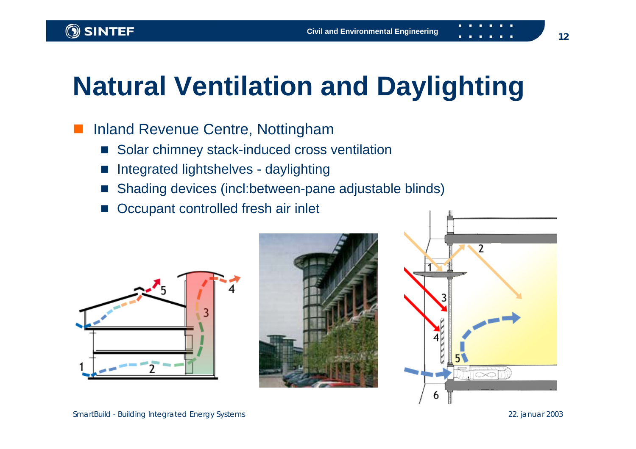### **Natural Ventilation and Daylighting**

#### Inland Revenue Centre, Nottingham

- $\|\cdot\|$ Solar chimney stack-induced cross ventilation
- F. Integrated lightshelves - daylighting
- F. Shading devices (incl:between-pane adjustable blinds)
- Occupant controlled fresh air inlet





 $\overline{\phantom{a}}$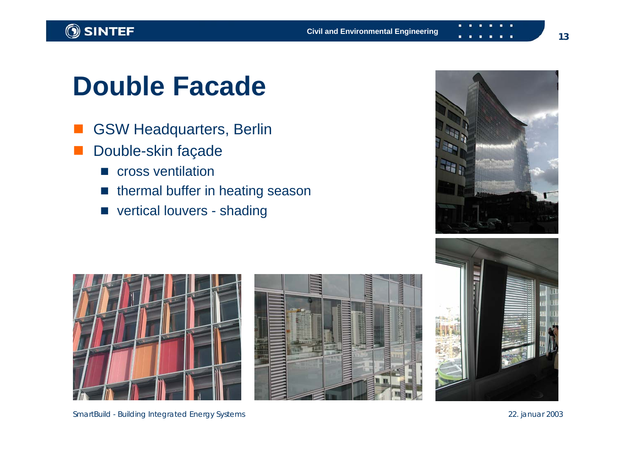### **Double Facade**

- GSW Headquarters, Berlin
- Double-skin façade
	- **E** cross ventilation
	- $\blacksquare$  thermal buffer in heating season
	- vertical louvers shading









SmartBuild - Building Integrated Energy Systems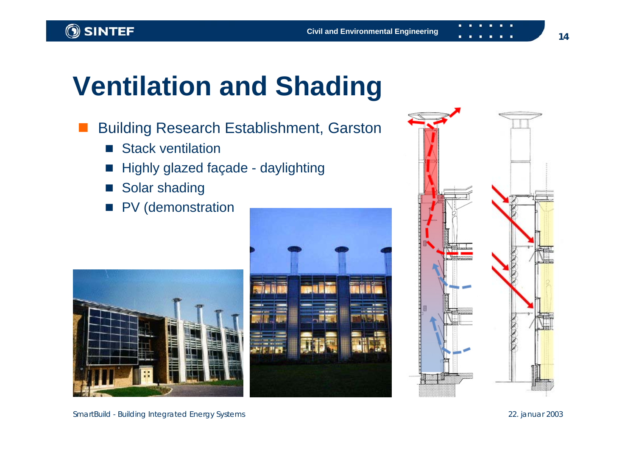### **Ventilation and Shading**

- Building Research Establishment, Garston
	- Stack ventilation
	- $\overline{\phantom{a}}$ Highly glazed façade - daylighting
	- $\overline{\phantom{a}}$ Solar shading
	- PV (demonstration







22. januar 2003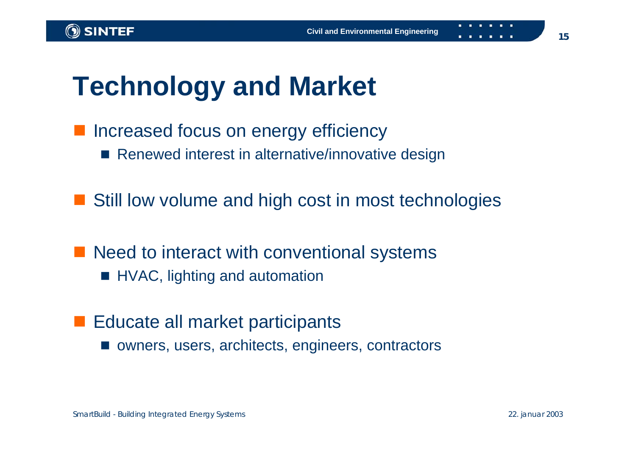#### **Technology and Market**

**Increased focus on energy efficiency** ■ Renewed interest in alternative/innovative design

■ Still low volume and high cost in most technologies

■ Need to interact with conventional systems

- **HVAC, lighting and automation**
- **Educate all market participants** 
	- owners, users, architects, engineers, contractors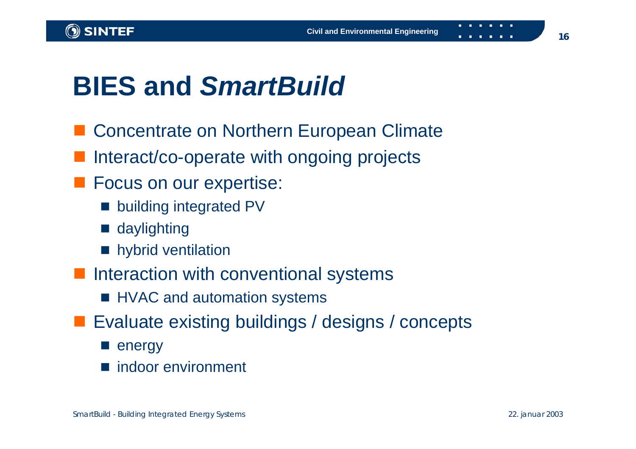### **BIES and** *SmartBuild*

- Concentrate on Northern European Climate
- Interact/co-operate with ongoing projects
- **Focus on our expertise:** 
	- **Demoglem** building integrated PV
	- daylighting
	- **n** hybrid ventilation
- **Interaction with conventional systems** 
	- **HVAC and automation systems**
- **Exaluate existing buildings / designs / concepts** 
	- **E** energy
	- indoor environment